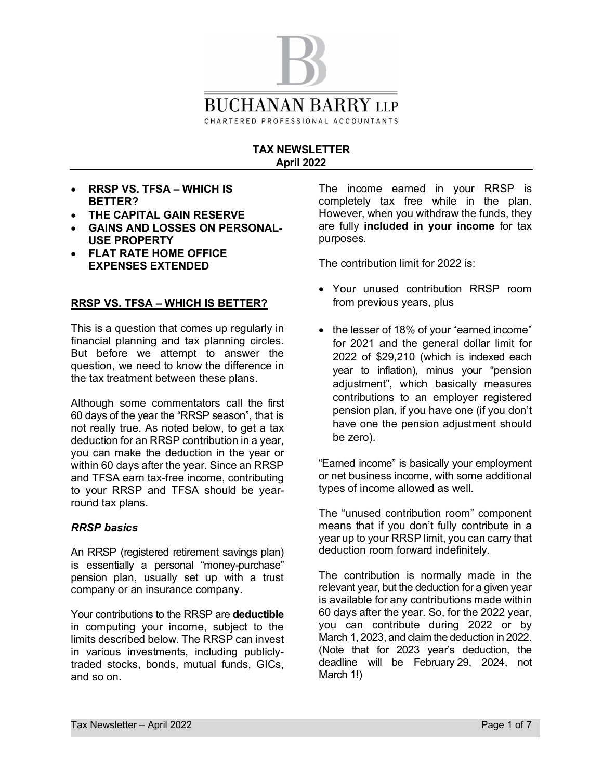

## **TAX NEWSLETTER April 2022**

- · **RRSP VS. TFSA WHICH IS BETTER?**
- · **THE CAPITAL GAIN RESERVE**
- · **GAINS AND LOSSES ON PERSONAL-USE PROPERTY**
- · **FLAT RATE HOME OFFICE EXPENSES EXTENDED**

#### **RRSP VS. TFSA – WHICH IS BETTER?**

This is a question that comes up regularly in financial planning and tax planning circles. But before we attempt to answer the question, we need to know the difference in the tax treatment between these plans.

Although some commentators call the first 60 days of the year the "RRSP season", that is not really true. As noted below, to get a tax deduction for an RRSP contribution in a year, you can make the deduction in the year or within 60 days after the year. Since an RRSP and TFSA earn tax-free income, contributing to your RRSP and TFSA should be yearround tax plans.

#### *RRSP basics*

An RRSP (registered retirement savings plan) is essentially a personal "money-purchase" pension plan, usually set up with a trust company or an insurance company.

Your contributions to the RRSP are **deductible** in computing your income, subject to the limits described below. The RRSP can invest in various investments, including publiclytraded stocks, bonds, mutual funds, GICs, and so on.

The income earned in your RRSP is completely tax free while in the plan. However, when you withdraw the funds, they are fully **included in your income** for tax purposes.

The contribution limit for 2022 is:

- · Your unused contribution RRSP room from previous years, plus
- the lesser of 18% of your "earned income" for 2021 and the general dollar limit for 2022 of \$29,210 (which is indexed each year to inflation), minus your "pension adjustment", which basically measures contributions to an employer registered pension plan, if you have one (if you don't have one the pension adjustment should be zero).

"Earned income" is basically your employment or net business income, with some additional types of income allowed as well.

The "unused contribution room" component means that if you don't fully contribute in a year up to your RRSP limit, you can carry that deduction room forward indefinitely.

The contribution is normally made in the relevant year, but the deduction for a given year is available for any contributions made within 60 days after the year. So, for the 2022 year, you can contribute during 2022 or by March 1, 2023, and claim the deduction in 2022. (Note that for 2023 year's deduction, the deadline will be February 29, 2024, not March 1!)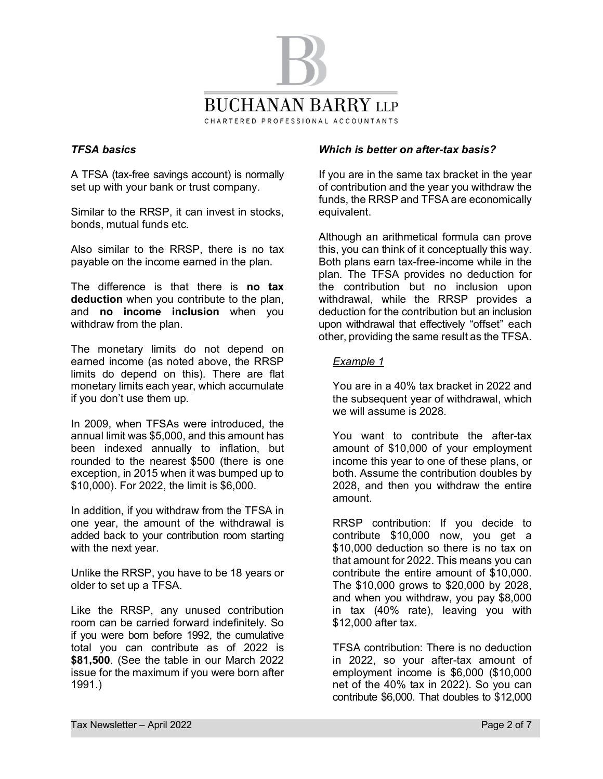

## *TFSA basics*

A TFSA (tax-free savings account) is normally set up with your bank or trust company.

Similar to the RRSP, it can invest in stocks, bonds, mutual funds etc.

Also similar to the RRSP, there is no tax payable on the income earned in the plan.

The difference is that there is **no tax deduction** when you contribute to the plan, and **no income inclusion** when you withdraw from the plan.

The monetary limits do not depend on earned income (as noted above, the RRSP limits do depend on this). There are flat monetary limits each year, which accumulate if you don't use them up.

In 2009, when TFSAs were introduced, the annual limit was \$5,000, and this amount has been indexed annually to inflation, but rounded to the nearest \$500 (there is one exception, in 2015 when it was bumped up to \$10,000). For 2022, the limit is \$6,000.

In addition, if you withdraw from the TFSA in one year, the amount of the withdrawal is added back to your contribution room starting with the next year.

Unlike the RRSP, you have to be 18 years or older to set up a TFSA.

Like the RRSP, any unused contribution room can be carried forward indefinitely. So if you were born before 1992, the cumulative total you can contribute as of 2022 is **\$81,500**. (See the table in our March 2022 issue for the maximum if you were born after 1991.)

## *Which is better on after-tax basis?*

If you are in the same tax bracket in the year of contribution and the year you withdraw the funds, the RRSP and TFSA are economically equivalent.

Although an arithmetical formula can prove this, you can think of it conceptually this way. Both plans earn tax-free-income while in the plan. The TFSA provides no deduction for the contribution but no inclusion upon withdrawal, while the RRSP provides a deduction for the contribution but an inclusion upon withdrawal that effectively "offset" each other, providing the same result as the TFSA.

## *Example 1*

 You are in a 40% tax bracket in 2022 and the subsequent year of withdrawal, which we will assume is 2028.

 You want to contribute the after-tax amount of \$10,000 of your employment income this year to one of these plans, or both. Assume the contribution doubles by 2028, and then you withdraw the entire amount.

 RRSP contribution: If you decide to contribute \$10,000 now, you get a \$10,000 deduction so there is no tax on that amount for 2022. This means you can contribute the entire amount of \$10,000. The \$10,000 grows to \$20,000 by 2028, and when you withdraw, you pay \$8,000 in tax (40% rate), leaving you with \$12,000 after tax.

 TFSA contribution: There is no deduction in 2022, so your after-tax amount of employment income is \$6,000 (\$10,000 net of the 40% tax in 2022). So you can contribute \$6,000. That doubles to \$12,000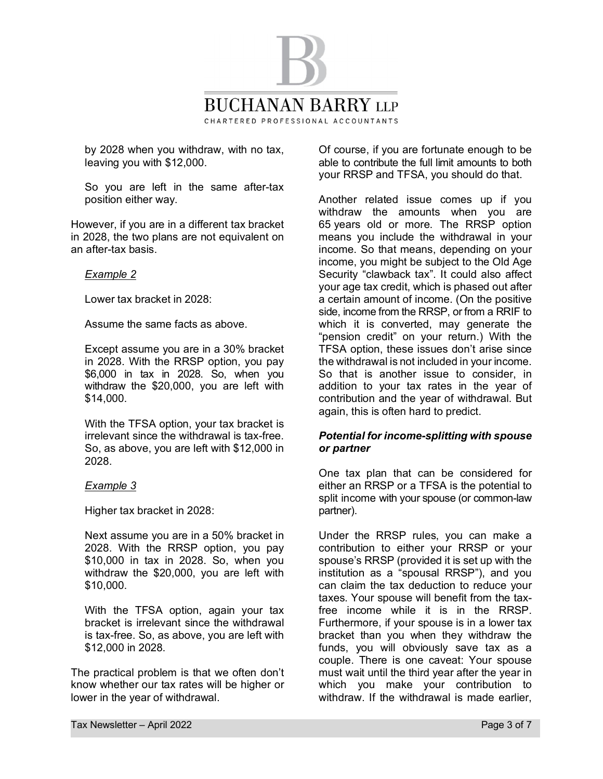

by 2028 when you withdraw, with no tax, leaving you with \$12,000.

 So you are left in the same after-tax position either way.

However, if you are in a different tax bracket in 2028, the two plans are not equivalent on an after-tax basis.

#### *Example 2*

Lower tax bracket in 2028:

Assume the same facts as above.

 Except assume you are in a 30% bracket in 2028. With the RRSP option, you pay \$6,000 in tax in 2028. So, when you withdraw the \$20,000, you are left with \$14,000.

 With the TFSA option, your tax bracket is irrelevant since the withdrawal is tax-free. So, as above, you are left with \$12,000 in 2028.

#### *Example 3*

Higher tax bracket in 2028:

 Next assume you are in a 50% bracket in 2028. With the RRSP option, you pay \$10,000 in tax in 2028. So, when you withdraw the \$20,000, you are left with \$10,000.

 With the TFSA option, again your tax bracket is irrelevant since the withdrawal is tax-free. So, as above, you are left with \$12,000 in 2028.

The practical problem is that we often don't know whether our tax rates will be higher or lower in the year of withdrawal.

Of course, if you are fortunate enough to be able to contribute the full limit amounts to both your RRSP and TFSA, you should do that.

Another related issue comes up if you withdraw the amounts when you are 65 years old or more. The RRSP option means you include the withdrawal in your income. So that means, depending on your income, you might be subject to the Old Age Security "clawback tax". It could also affect your age tax credit, which is phased out after a certain amount of income. (On the positive side, income from the RRSP, or from a RRIF to which it is converted, may generate the "pension credit" on your return.) With the TFSA option, these issues don't arise since the withdrawal is not included in your income. So that is another issue to consider, in addition to your tax rates in the year of contribution and the year of withdrawal. But again, this is often hard to predict.

## *Potential for income-splitting with spouse or partner*

One tax plan that can be considered for either an RRSP or a TFSA is the potential to split income with your spouse (or common-law partner).

Under the RRSP rules, you can make a contribution to either your RRSP or your spouse's RRSP (provided it is set up with the institution as a "spousal RRSP"), and you can claim the tax deduction to reduce your taxes. Your spouse will benefit from the taxfree income while it is in the RRSP. Furthermore, if your spouse is in a lower tax bracket than you when they withdraw the funds, you will obviously save tax as a couple. There is one caveat: Your spouse must wait until the third year after the year in which you make your contribution to withdraw. If the withdrawal is made earlier,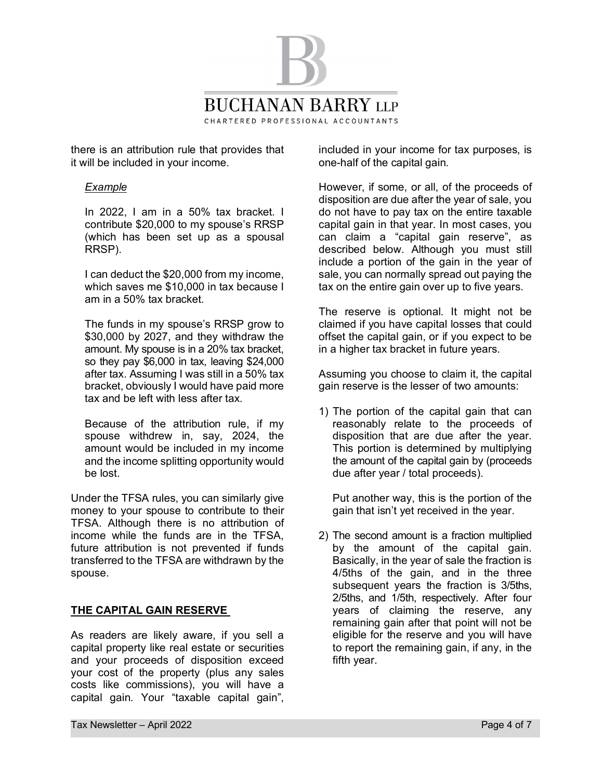

there is an attribution rule that provides that it will be included in your income.

#### *Example*

 In 2022, I am in a 50% tax bracket. I contribute \$20,000 to my spouse's RRSP (which has been set up as a spousal RRSP).

 I can deduct the \$20,000 from my income, which saves me \$10,000 in tax because I am in a 50% tax bracket.

 The funds in my spouse's RRSP grow to \$30,000 by 2027, and they withdraw the amount. My spouse is in a 20% tax bracket, so they pay \$6,000 in tax, leaving \$24,000 after tax. Assuming I was still in a 50% tax bracket, obviously I would have paid more tax and be left with less after tax.

 Because of the attribution rule, if my spouse withdrew in, say, 2024, the amount would be included in my income and the income splitting opportunity would be lost.

Under the TFSA rules, you can similarly give money to your spouse to contribute to their TFSA. Although there is no attribution of income while the funds are in the TFSA, future attribution is not prevented if funds transferred to the TFSA are withdrawn by the spouse.

## **THE CAPITAL GAIN RESERVE**

As readers are likely aware, if you sell a capital property like real estate or securities and your proceeds of disposition exceed your cost of the property (plus any sales costs like commissions), you will have a capital gain. Your "taxable capital gain",

included in your income for tax purposes, is one-half of the capital gain.

However, if some, or all, of the proceeds of disposition are due after the year of sale, you do not have to pay tax on the entire taxable capital gain in that year. In most cases, you can claim a "capital gain reserve", as described below. Although you must still include a portion of the gain in the year of sale, you can normally spread out paying the tax on the entire gain over up to five years.

The reserve is optional. It might not be claimed if you have capital losses that could offset the capital gain, or if you expect to be in a higher tax bracket in future years.

Assuming you choose to claim it, the capital gain reserve is the lesser of two amounts:

1) The portion of the capital gain that can reasonably relate to the proceeds of disposition that are due after the year. This portion is determined by multiplying the amount of the capital gain by (proceeds due after year / total proceeds).

Put another way, this is the portion of the gain that isn't yet received in the year.

2) The second amount is a fraction multiplied by the amount of the capital gain. Basically, in the year of sale the fraction is 4/5ths of the gain, and in the three subsequent years the fraction is 3/5ths, 2/5ths, and 1/5th, respectively. After four years of claiming the reserve, any remaining gain after that point will not be eligible for the reserve and you will have to report the remaining gain, if any, in the fifth year.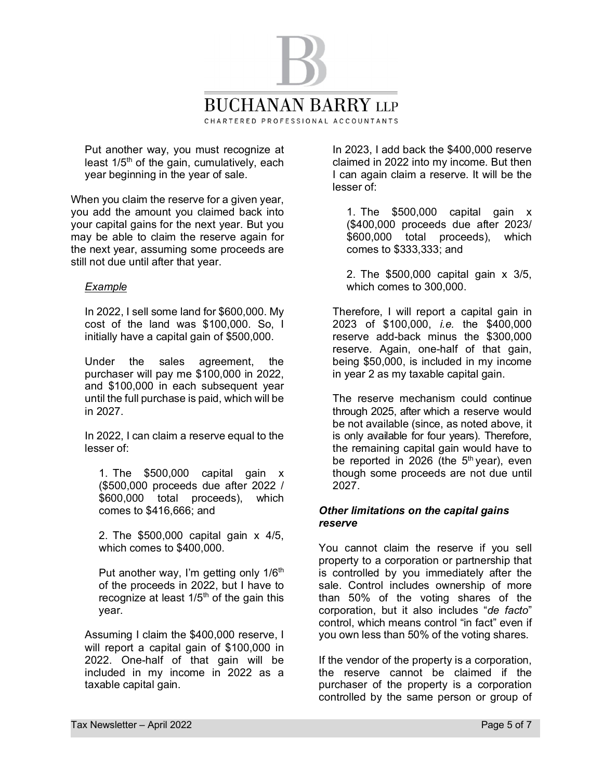

Put another way, you must recognize at least  $1/5<sup>th</sup>$  of the gain, cumulatively, each year beginning in the year of sale.

When you claim the reserve for a given year, you add the amount you claimed back into your capital gains for the next year. But you may be able to claim the reserve again for the next year, assuming some proceeds are still not due until after that year.

#### *Example*

 In 2022, I sell some land for \$600,000. My cost of the land was \$100,000. So, I initially have a capital gain of \$500,000.

 Under the sales agreement, the purchaser will pay me \$100,000 in 2022, and \$100,000 in each subsequent year until the full purchase is paid, which will be in 2027.

 In 2022, I can claim a reserve equal to the lesser of:

1. The \$500,000 capital gain x (\$500,000 proceeds due after 2022 / \$600,000 total proceeds), which comes to \$416,666; and

2. The \$500,000 capital gain x 4/5, which comes to \$400,000.

Put another way, I'm getting only  $1/6<sup>th</sup>$ of the proceeds in 2022, but I have to recognize at least  $1/5<sup>th</sup>$  of the gain this year.

 Assuming I claim the \$400,000 reserve, I will report a capital gain of \$100,000 in 2022. One-half of that gain will be included in my income in 2022 as a taxable capital gain.

 In 2023, I add back the \$400,000 reserve claimed in 2022 into my income. But then I can again claim a reserve. It will be the lesser of:

1. The \$500,000 capital gain x (\$400,000 proceeds due after 2023/ \$600,000 total proceeds), which comes to \$333,333; and

2. The \$500,000 capital gain x 3/5, which comes to 300,000.

 Therefore, I will report a capital gain in 2023 of \$100,000, *i.e.* the \$400,000 reserve add-back minus the \$300,000 reserve. Again, one-half of that gain, being \$50,000, is included in my income in year 2 as my taxable capital gain.

 The reserve mechanism could continue through 2025, after which a reserve would be not available (since, as noted above, it is only available for four years). Therefore, the remaining capital gain would have to be reported in 2026 (the  $5<sup>th</sup>$  year), even though some proceeds are not due until 2027.

#### *Other limitations on the capital gains reserve*

You cannot claim the reserve if you sell property to a corporation or partnership that is controlled by you immediately after the sale. Control includes ownership of more than 50% of the voting shares of the corporation, but it also includes "*de facto*" control, which means control "in fact" even if you own less than 50% of the voting shares.

If the vendor of the property is a corporation, the reserve cannot be claimed if the purchaser of the property is a corporation controlled by the same person or group of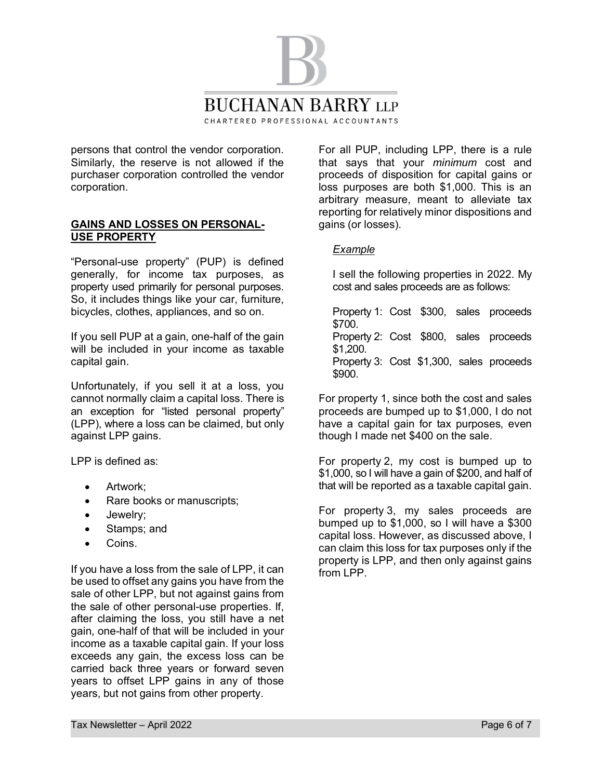

persons that control the vendor corporation. Similarly, the reserve is not allowed if the purchaser corporation controlled the vendor corporation.

#### **GAINS AND LOSSES ON PERSONAL-USE PROPERTY**

"Personal-use property" (PUP) is defined generally, for income tax purposes, as property used primarily for personal purposes. So, it includes things like your car, furniture, bicycles, clothes, appliances, and so on.

If you sell PUP at a gain, one-half of the gain will be included in your income as taxable capital gain.

Unfortunately, if you sell it at a loss, you cannot normally claim a capital loss. There is an exception for "listed personal property" (LPP), where a loss can be claimed, but only against LPP gains.

LPP is defined as:

- Artwork;
- Rare books or manuscripts;
- · Jewelry;
- Stamps; and
- · Coins.

If you have a loss from the sale of LPP, it can be used to offset any gains you have from the sale of other LPP, but not against gains from the sale of other personal-use properties. If, after claiming the loss, you still have a net gain, one-half of that will be included in your income as a taxable capital gain. If your loss exceeds any gain, the excess loss can be carried back three years or forward seven years to offset LPP gains in any of those years, but not gains from other property.

For all PUP, including LPP, there is a rule that says that your *minimum* cost and proceeds of disposition for capital gains or loss purposes are both \$1,000. This is an arbitrary measure, meant to alleviate tax reporting for relatively minor dispositions and gains (or losses).

# *Example*

 I sell the following properties in 2022. My cost and sales proceeds are as follows:

 Property 1: Cost \$300, sales proceeds \$700. Property 2: Cost \$800, sales proceeds \$1,200. Property 3: Cost \$1,300, sales proceeds \$900.

For property 1, since both the cost and sales proceeds are bumped up to \$1,000, I do not have a capital gain for tax purposes, even though I made net \$400 on the sale.

For property 2, my cost is bumped up to \$1,000, so I will have a gain of \$200, and half of that will be reported as a taxable capital gain.

For property 3, my sales proceeds are bumped up to \$1,000, so I will have a \$300 capital loss. However, as discussed above, I can claim this loss for tax purposes only if the property is LPP, and then only against gains from LPP.